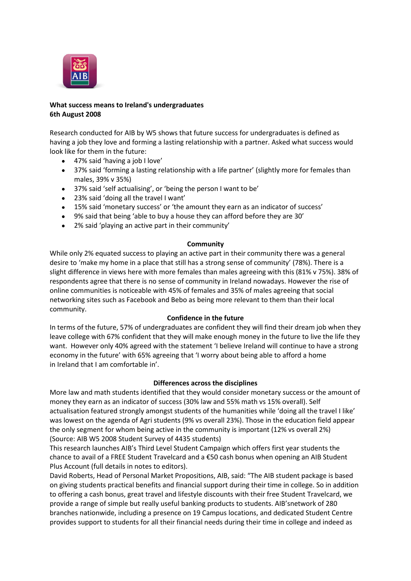

# **What success means to Ireland's undergraduates 6th August 2008**

Research conducted for AIB by W5 shows that future success for undergraduates is defined as having a job they love and forming a lasting relationship with a partner. Asked what success would look like for them in the future:

- 47% said 'having a job I love'
- 37% said 'forming a lasting relationship with a life partner' (slightly more for females than males, 39% v 35%)
- 37% said 'self actualising', or 'being the person I want to be'
- 23% said 'doing all the travel I want'
- 15% said 'monetary success' or 'the amount they earn as an indicator of success'
- 9% said that being 'able to buy a house they can afford before they are 30'
- 2% said 'playing an active part in their community'

## **Community**

While only 2% equated success to playing an active part in their community there was a general desire to 'make my home in a place that still has a strong sense of community' (78%). There is a slight difference in views here with more females than males agreeing with this (81% v 75%). 38% of respondents agree that there is no sense of community in Ireland nowadays. However the rise of online communities is noticeable with 45% of females and 35% of males agreeing that social networking sites such as Facebook and Bebo as being more relevant to them than their local community.

# **Confidence in the future**

In terms of the future, 57% of undergraduates are confident they will find their dream job when they leave college with 67% confident that they will make enough money in the future to live the life they want. However only 40% agreed with the statement 'I believe Ireland will continue to have a strong economy in the future' with 65% agreeing that 'I worry about being able to afford a home in Ireland that I am comfortable in'.

# **Differences across the disciplines**

More law and math students identified that they would consider monetary success or the amount of money they earn as an indicator of success (30% law and 55% math vs 15% overall). Self actualisation featured strongly amongst students of the humanities while 'doing all the travel I like' was lowest on the agenda of Agri students (9% vs overall 23%). Those in the education field appear the only segment for whom being active in the community is important (12% vs overall 2%) (Source: AIB W5 2008 Student Survey of 4435 students)

This research launches AIB's Third Level Student Campaign which offers first year students the chance to avail of a FREE Student Travelcard and a €50 cash bonus when opening an AIB Student Plus Account (full details in notes to editors).

David Roberts, Head of Personal Market Propositions, AIB, said: "The AIB student package is based on giving students practical benefits and financial support during their time in college. So in addition to offering a cash bonus, great travel and lifestyle discounts with their free Student Travelcard, we provide a range of simple but really useful banking products to students. AIB'snetwork of 280 branches nationwide, including a presence on 19 Campus locations, and dedicated Student Centre provides support to students for all their financial needs during their time in college and indeed as